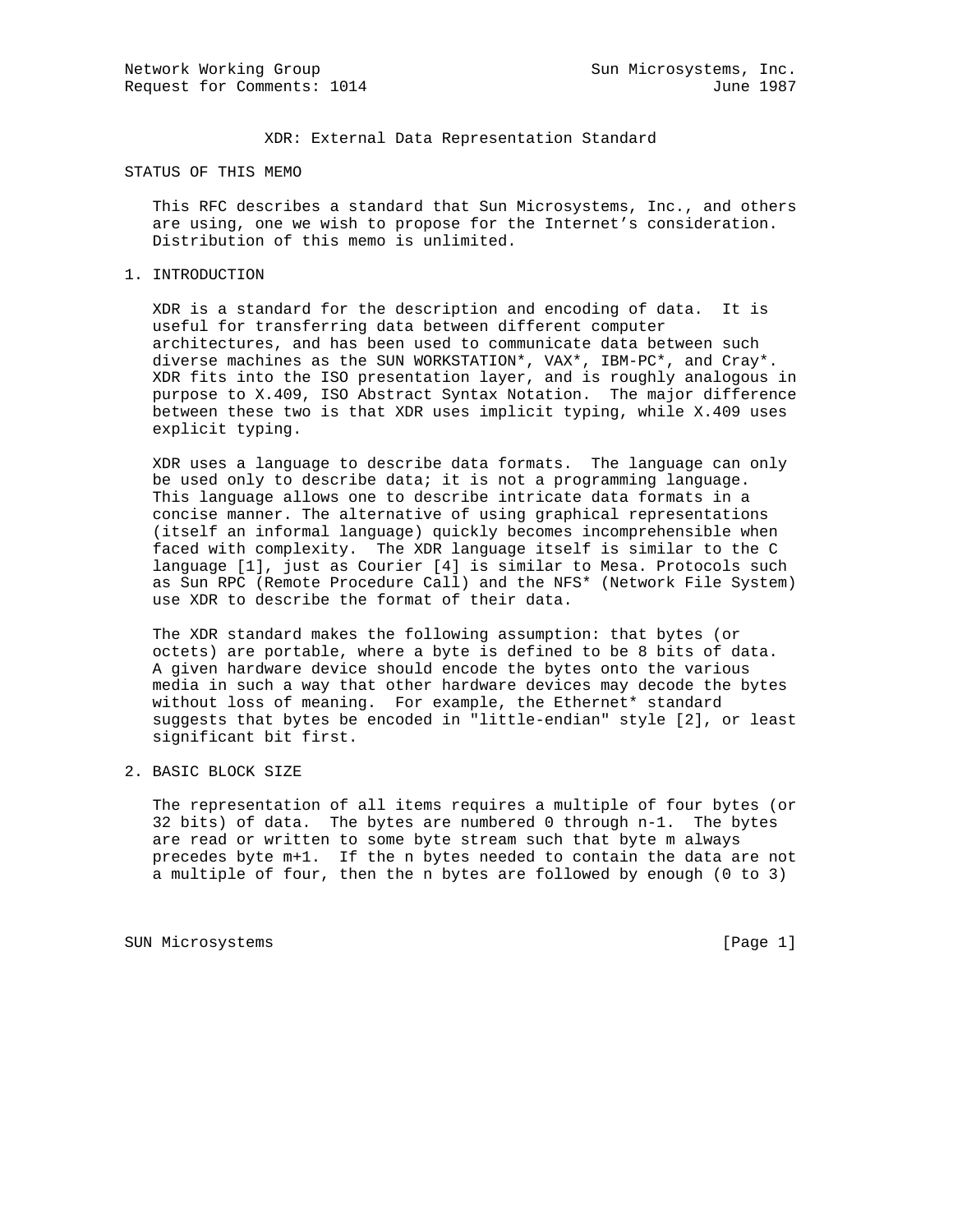XDR: External Data Representation Standard

STATUS OF THIS MEMO

 This RFC describes a standard that Sun Microsystems, Inc., and others are using, one we wish to propose for the Internet's consideration. Distribution of this memo is unlimited.

1. INTRODUCTION

 XDR is a standard for the description and encoding of data. It is useful for transferring data between different computer architectures, and has been used to communicate data between such diverse machines as the SUN WORKSTATION\*, VAX\*, IBM-PC\*, and Cray\*. XDR fits into the ISO presentation layer, and is roughly analogous in purpose to X.409, ISO Abstract Syntax Notation. The major difference between these two is that XDR uses implicit typing, while X.409 uses explicit typing.

 XDR uses a language to describe data formats. The language can only be used only to describe data; it is not a programming language. This language allows one to describe intricate data formats in a concise manner. The alternative of using graphical representations (itself an informal language) quickly becomes incomprehensible when faced with complexity. The XDR language itself is similar to the C language [1], just as Courier [4] is similar to Mesa. Protocols such as Sun RPC (Remote Procedure Call) and the NFS\* (Network File System) use XDR to describe the format of their data.

 The XDR standard makes the following assumption: that bytes (or octets) are portable, where a byte is defined to be 8 bits of data. A given hardware device should encode the bytes onto the various media in such a way that other hardware devices may decode the bytes without loss of meaning. For example, the Ethernet\* standard suggests that bytes be encoded in "little-endian" style [2], or least significant bit first.

2. BASIC BLOCK SIZE

 The representation of all items requires a multiple of four bytes (or 32 bits) of data. The bytes are numbered 0 through n-1. The bytes are read or written to some byte stream such that byte m always precedes byte m+1. If the n bytes needed to contain the data are not a multiple of four, then the n bytes are followed by enough (0 to 3)

SUN Microsystems [Page 1]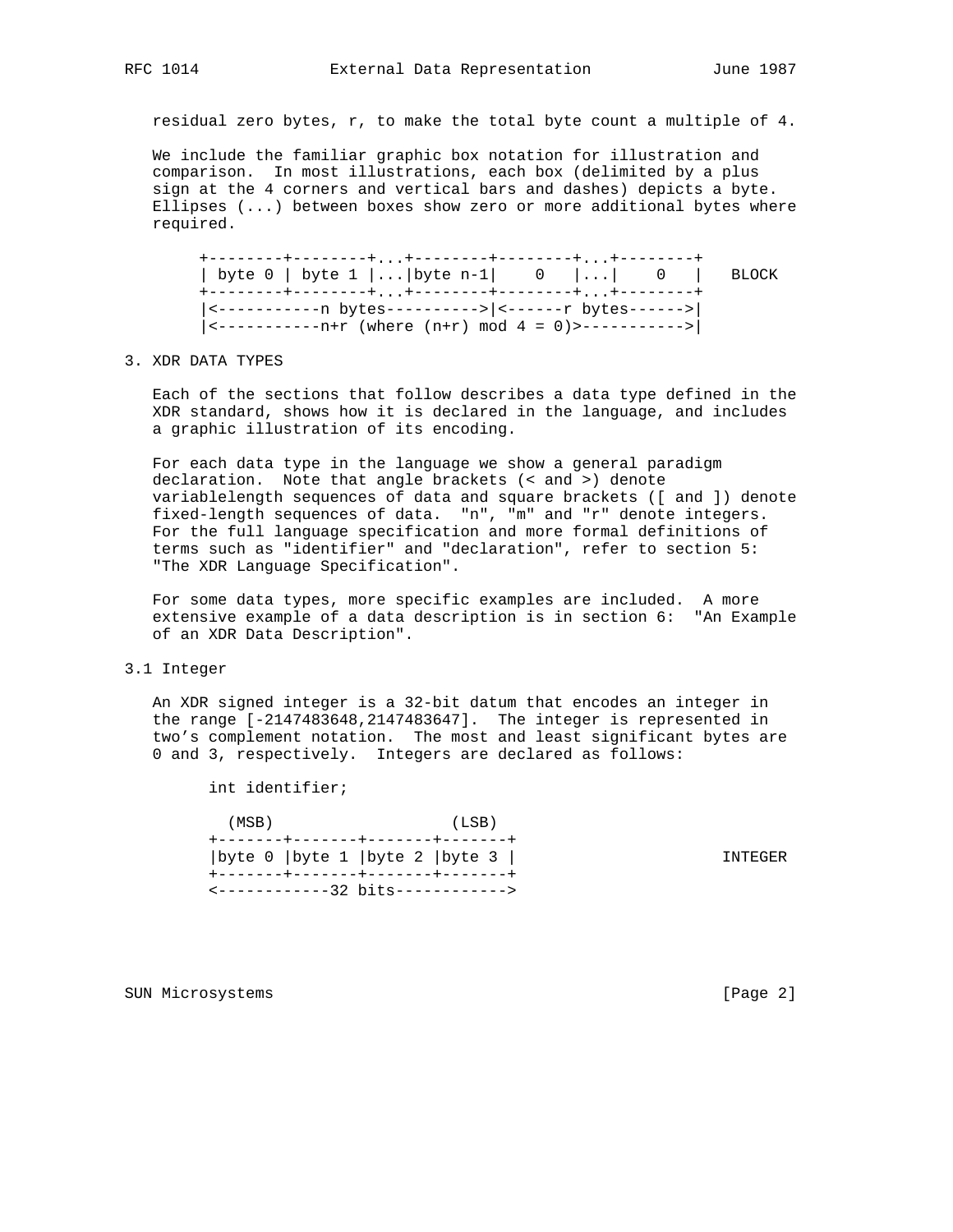residual zero bytes, r, to make the total byte count a multiple of 4.

 We include the familiar graphic box notation for illustration and comparison. In most illustrations, each box (delimited by a plus sign at the 4 corners and vertical bars and dashes) depicts a byte. Ellipses (...) between boxes show zero or more additional bytes where required.

 +--------+--------+...+--------+--------+...+--------+ | byte 0 | byte 1 |...|byte n-1| 0 |...| 0 | BLOCK +--------+--------+...+--------+--------+...+--------+ |<-----------n bytes---------->|<------r bytes------>|  $|\langle$ --------------------- (where  $(n+r)$  mod  $4 = 0$ )>------------>

#### 3. XDR DATA TYPES

 Each of the sections that follow describes a data type defined in the XDR standard, shows how it is declared in the language, and includes a graphic illustration of its encoding.

 For each data type in the language we show a general paradigm declaration. Note that angle brackets (< and >) denote variablelength sequences of data and square brackets ([ and ]) denote fixed-length sequences of data. "n", "m" and "r" denote integers. For the full language specification and more formal definitions of terms such as "identifier" and "declaration", refer to section 5: "The XDR Language Specification".

 For some data types, more specific examples are included. A more extensive example of a data description is in section 6: "An Example of an XDR Data Description".

#### 3.1 Integer

 An XDR signed integer is a 32-bit datum that encodes an integer in the range [-2147483648,2147483647]. The integer is represented in two's complement notation. The most and least significant bytes are 0 and 3, respectively. Integers are declared as follows:

int identifier;

| (MSB) | +-------+-------+-------+-------+                                       | (LSB) |         |  |
|-------|-------------------------------------------------------------------------|-------|---------|--|
|       | byte 0   byte 1   byte 2   byte 3  <br>+-------+------+-------+-------+ |       | TNTEGER |  |
|       | $\leftarrow$ ------------32 bits------------>                           |       |         |  |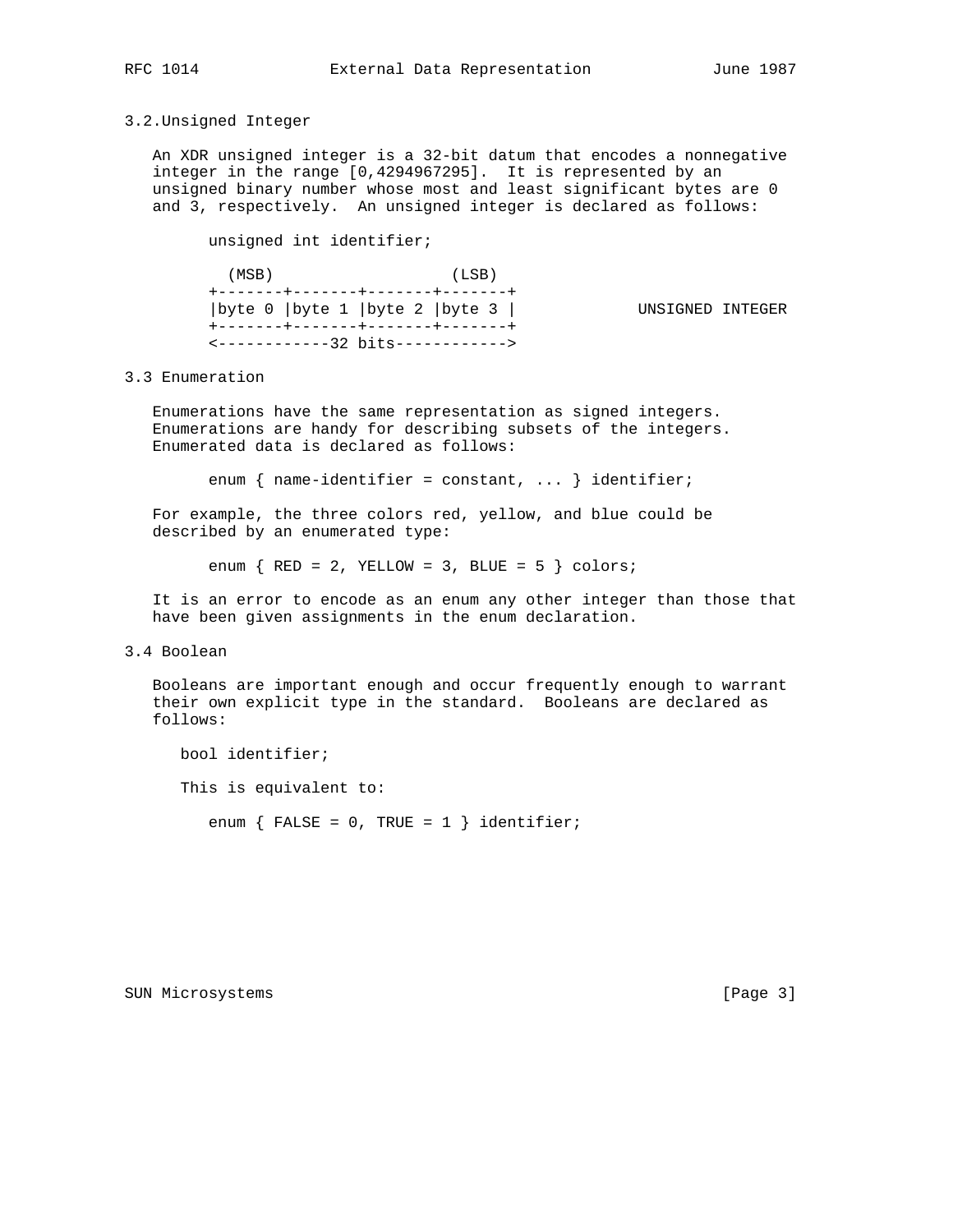#### 3.2.Unsigned Integer

 An XDR unsigned integer is a 32-bit datum that encodes a nonnegative integer in the range [0,4294967295]. It is represented by an unsigned binary number whose most and least significant bytes are 0 and 3, respectively. An unsigned integer is declared as follows:

unsigned int identifier;

| (MSB) | (LSB)<br>+-------+-------+-------+------+                                         |                  |  |
|-------|-----------------------------------------------------------------------------------|------------------|--|
|       | byte 0  byte 1  byte 2  byte 3                                                    | UNSIGNED INTEGER |  |
|       | +-------+------+-------+-------+<br>$\leftarrow$ ------------32 bits------------> |                  |  |

### 3.3 Enumeration

 Enumerations have the same representation as signed integers. Enumerations are handy for describing subsets of the integers. Enumerated data is declared as follows:

enum { name-identifier = constant, ... } identifier;

 For example, the three colors red, yellow, and blue could be described by an enumerated type:

enum  $\{RED = 2, YELLOW = 3, BLUE = 5 \} colors;$ 

 It is an error to encode as an enum any other integer than those that have been given assignments in the enum declaration.

#### 3.4 Boolean

 Booleans are important enough and occur frequently enough to warrant their own explicit type in the standard. Booleans are declared as follows:

 bool identifier; This is equivalent to: enum  $\{$  FALSE = 0, TRUE = 1  $\}$  identifier;

SUN Microsystems [Page 3]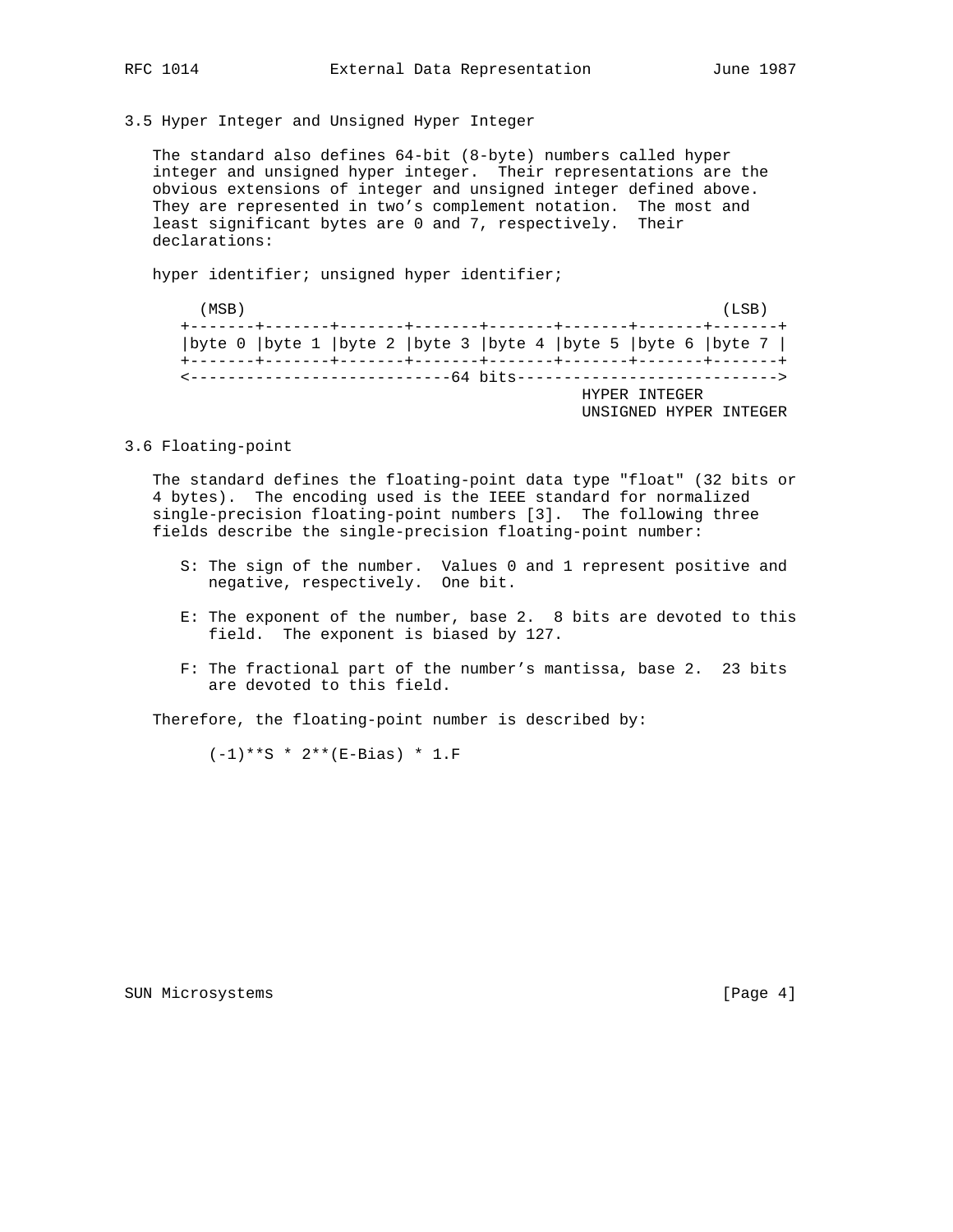3.5 Hyper Integer and Unsigned Hyper Integer

 The standard also defines 64-bit (8-byte) numbers called hyper integer and unsigned hyper integer. Their representations are the obvious extensions of integer and unsigned integer defined above. They are represented in two's complement notation. The most and least significant bytes are 0 and 7, respectively. Their declarations:

hyper identifier; unsigned hyper identifier;

| (MSB) |  |  |  |                                                                       |  | (LSB) |  |
|-------|--|--|--|-----------------------------------------------------------------------|--|-------|--|
|       |  |  |  | byte 0   byte 1   byte 2   byte 3   byte 4   byte 5   byte 6   byte 7 |  |       |  |
|       |  |  |  | <------------------------------64 bits---------------------------->   |  |       |  |
|       |  |  |  | HYPER INTEGER                                                         |  |       |  |
|       |  |  |  | UNSIGNED HYPER INTEGER                                                |  |       |  |

3.6 Floating-point

 The standard defines the floating-point data type "float" (32 bits or 4 bytes). The encoding used is the IEEE standard for normalized single-precision floating-point numbers [3]. The following three fields describe the single-precision floating-point number:

- S: The sign of the number. Values 0 and 1 represent positive and negative, respectively. One bit.
	- E: The exponent of the number, base 2. 8 bits are devoted to this field. The exponent is biased by 127.
	- F: The fractional part of the number's mantissa, base 2. 23 bits are devoted to this field.

Therefore, the floating-point number is described by:

 $(-1)**S * 2** (E-Bias) * 1.F$ 

SUN Microsystems [Page 4]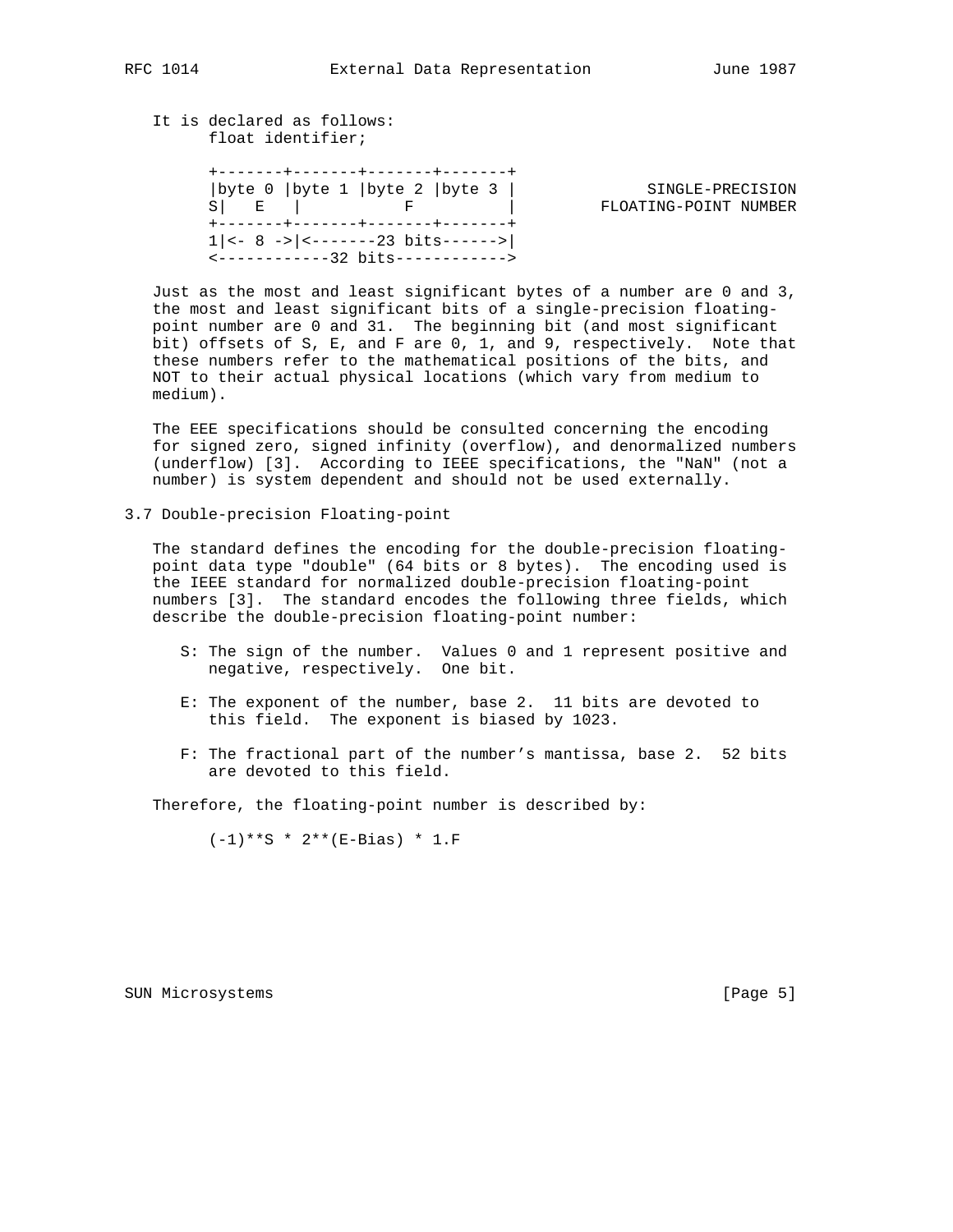### It is declared as follows: float identifier;

 +-------+-------+-------+-------+ |byte 0 |byte 1 |byte 2 |byte 3 | SINGLE-PRECISION S| E | F | F | FLOATING-POINT NUMBER +-------+-------+-------+-------+  $1|<- 8 -> |<----23 \text{ bits}--->|$ <------------32 bits------------>

 Just as the most and least significant bytes of a number are 0 and 3, the most and least significant bits of a single-precision floating point number are 0 and 31. The beginning bit (and most significant bit) offsets of S, E, and F are 0, 1, and 9, respectively. Note that these numbers refer to the mathematical positions of the bits, and NOT to their actual physical locations (which vary from medium to medium).

 The EEE specifications should be consulted concerning the encoding for signed zero, signed infinity (overflow), and denormalized numbers (underflow) [3]. According to IEEE specifications, the "NaN" (not a number) is system dependent and should not be used externally.

3.7 Double-precision Floating-point

 The standard defines the encoding for the double-precision floating point data type "double" (64 bits or 8 bytes). The encoding used is the IEEE standard for normalized double-precision floating-point numbers [3]. The standard encodes the following three fields, which describe the double-precision floating-point number:

- S: The sign of the number. Values 0 and 1 represent positive and negative, respectively. One bit.
- E: The exponent of the number, base 2. 11 bits are devoted to this field. The exponent is biased by 1023.
- F: The fractional part of the number's mantissa, base 2. 52 bits are devoted to this field.

Therefore, the floating-point number is described by:

 $(-1)**S * 2** (E-Bias) * 1.F$ 

SUN Microsystems [Page 5]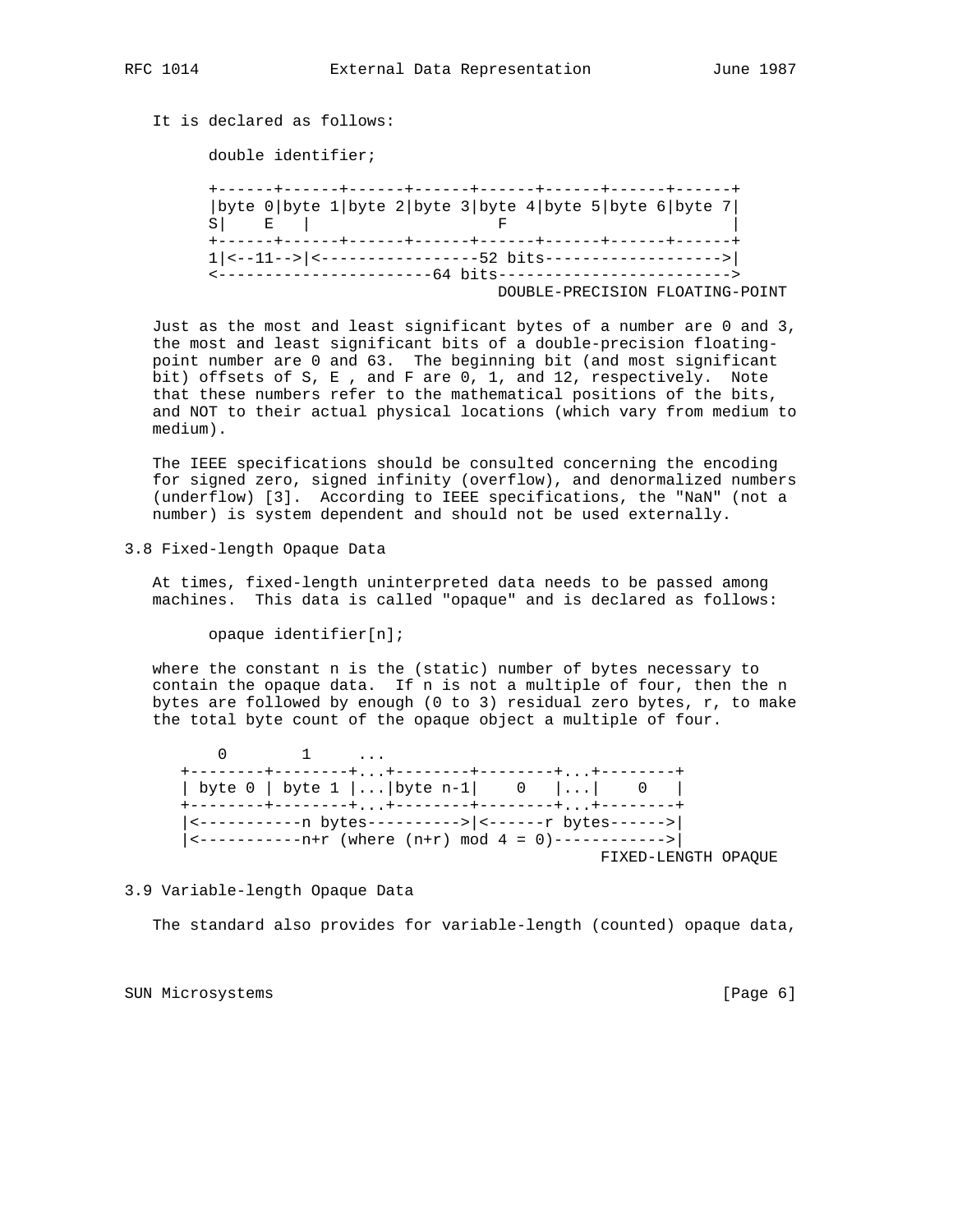# It is declared as follows:

double identifier;

 +------+------+------+------+------+------+------+------+ |byte 0|byte 1|byte 2|byte 3|byte 4|byte 5|byte 6|byte 7|  $S$  | E | F | F +------+------+------+------+------+------+------+------+ 1|<--11-->|<-----------------52 bits------------------->| <-----------------------64 bits-------------------------> DOUBLE-PRECISION FLOATING-POINT

 Just as the most and least significant bytes of a number are 0 and 3, the most and least significant bits of a double-precision floating point number are 0 and 63. The beginning bit (and most significant bit) offsets of S, E , and F are 0, 1, and 12, respectively. Note that these numbers refer to the mathematical positions of the bits, and NOT to their actual physical locations (which vary from medium to medium).

 The IEEE specifications should be consulted concerning the encoding for signed zero, signed infinity (overflow), and denormalized numbers (underflow) [3]. According to IEEE specifications, the "NaN" (not a number) is system dependent and should not be used externally.

3.8 Fixed-length Opaque Data

 At times, fixed-length uninterpreted data needs to be passed among machines. This data is called "opaque" and is declared as follows:

opaque identifier[n];

 where the constant n is the (static) number of bytes necessary to contain the opaque data. If n is not a multiple of four, then the n bytes are followed by enough (0 to 3) residual zero bytes, r, to make the total byte count of the opaque object a multiple of four.

 $0 \qquad \qquad 1 \qquad \ldots$  +--------+--------+...+--------+--------+...+--------+ | byte 0 | byte 1 |...| byte n-1| 0 |...| 0 | +--------+--------+...+--------+--------+...+--------+ |<-----------n bytes---------->|<------r bytes------>| |<-----------n+r (where (n+r) mod 4 = 0)------------>| FIXED-LENGTH OPAQUE

### 3.9 Variable-length Opaque Data

The standard also provides for variable-length (counted) opaque data,

SUN Microsystems [Page 6]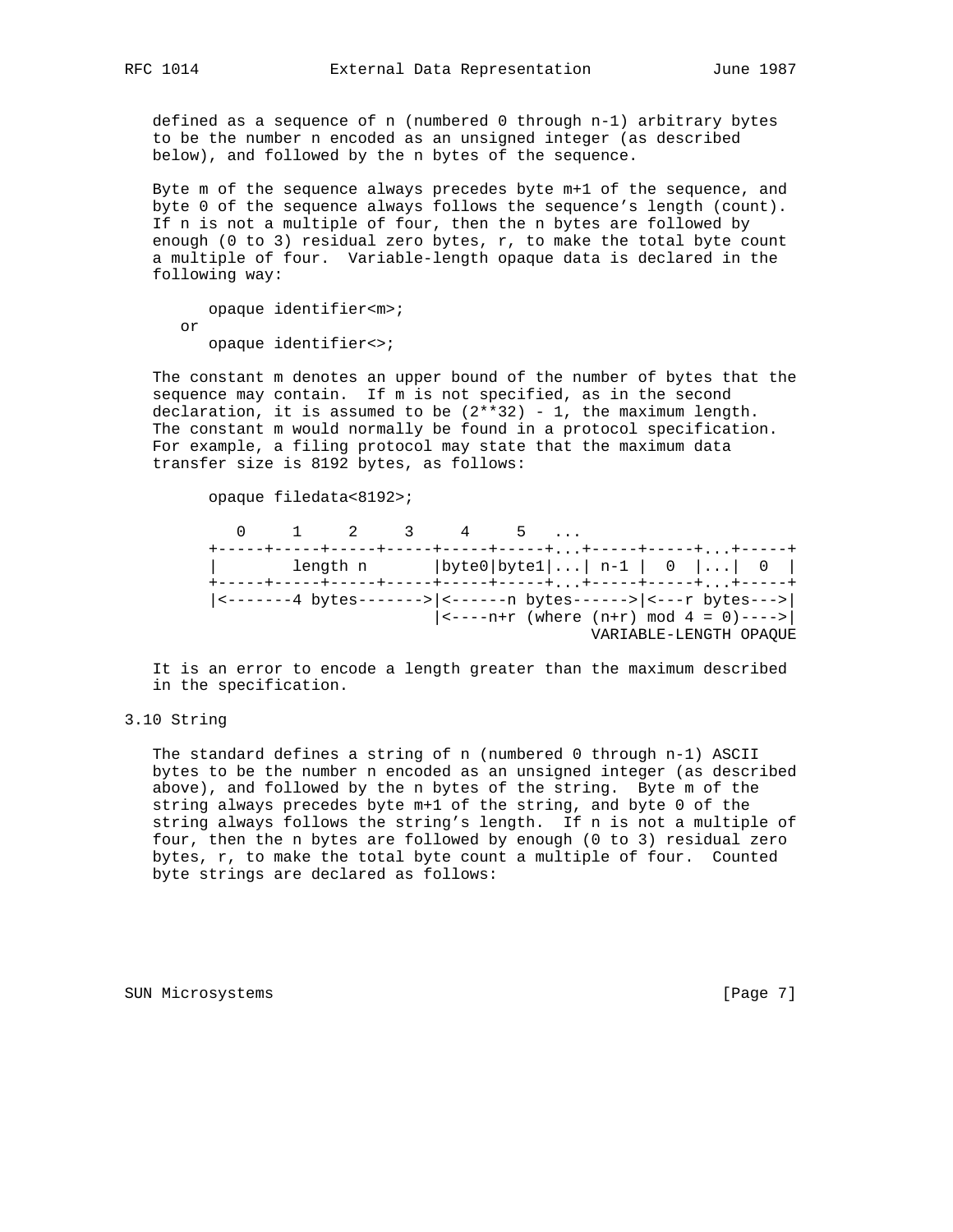defined as a sequence of n (numbered 0 through n-1) arbitrary bytes to be the number n encoded as an unsigned integer (as described below), and followed by the n bytes of the sequence.

 Byte m of the sequence always precedes byte m+1 of the sequence, and byte 0 of the sequence always follows the sequence's length (count). If n is not a multiple of four, then the n bytes are followed by enough (0 to 3) residual zero bytes,  $r$ , to make the total byte count a multiple of four. Variable-length opaque data is declared in the following way:

```
 opaque identifier<m>;
 or
    opaque identifier<>;
```
 The constant m denotes an upper bound of the number of bytes that the sequence may contain. If m is not specified, as in the second declaration, it is assumed to be  $(2**32)$  - 1, the maximum length. The constant m would normally be found in a protocol specification. For example, a filing protocol may state that the maximum data transfer size is 8192 bytes, as follows:

opaque filedata<8192>;

 0 1 2 3 4 5 ... +-----+-----+-----+-----+-----+-----+...+-----+-----+...+-----+ | length n |byte0|byte1|...| n-1 | 0 |...| 0 | +-----+-----+-----+-----+-----+-----+...+-----+-----+...+-----+ |<-------4 bytes------->|<------n bytes------>|<---r bytes--->|  $|\leftarrow---n+r$  (where  $(n+r)$  mod  $4 = 0$ ) ----> VARIABLE-LENGTH OPAQUE

 It is an error to encode a length greater than the maximum described in the specification.

### 3.10 String

 The standard defines a string of n (numbered 0 through n-1) ASCII bytes to be the number n encoded as an unsigned integer (as described above), and followed by the n bytes of the string. Byte m of the string always precedes byte m+1 of the string, and byte 0 of the string always follows the string's length. If n is not a multiple of four, then the n bytes are followed by enough (0 to 3) residual zero bytes, r, to make the total byte count a multiple of four. Counted byte strings are declared as follows:

SUN Microsystems [Page 7]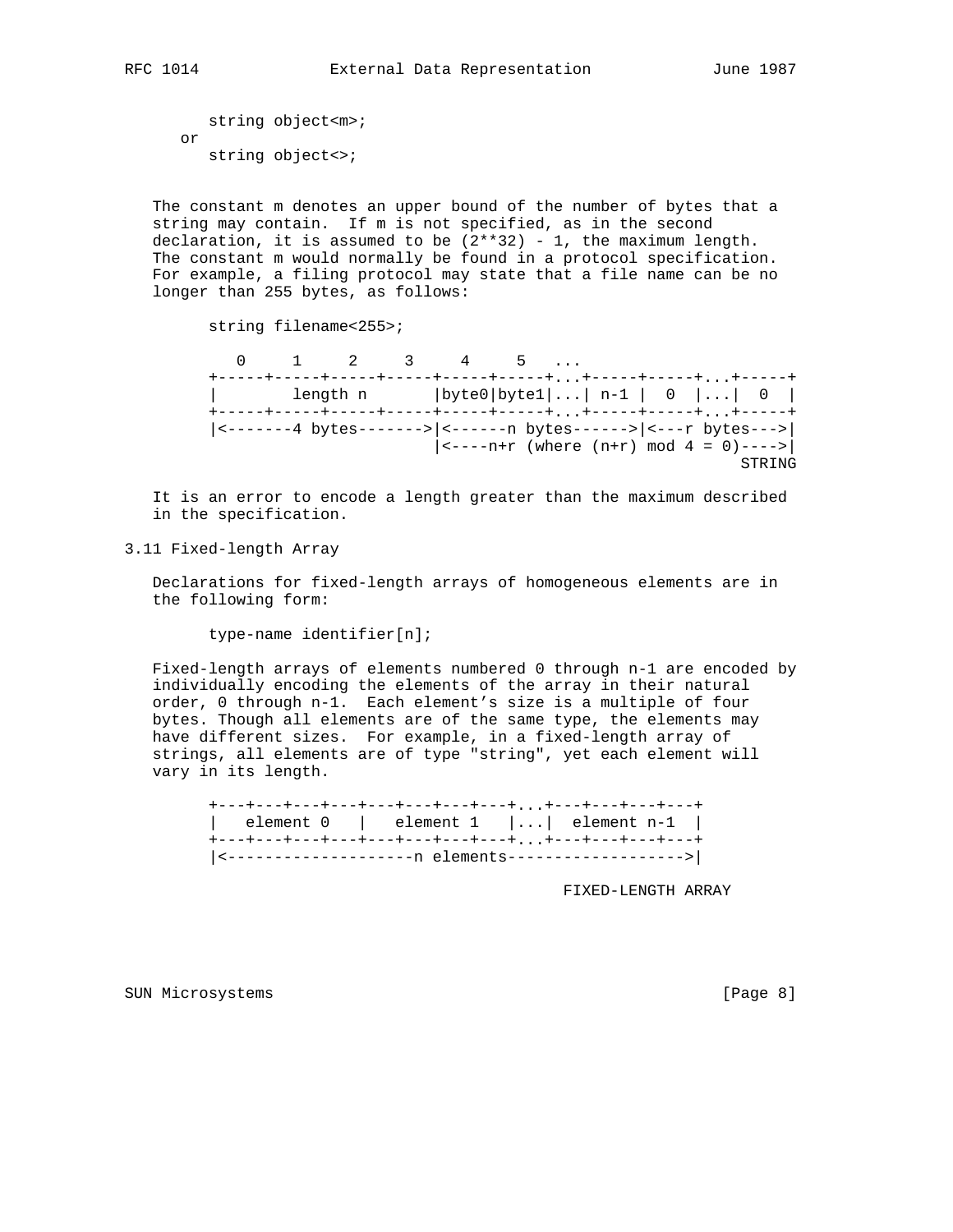string object<m>; or string object<>;

 The constant m denotes an upper bound of the number of bytes that a string may contain. If m is not specified, as in the second declaration, it is assumed to be  $(2**32)$  - 1, the maximum length. The constant m would normally be found in a protocol specification. For example, a filing protocol may state that a file name can be no longer than 255 bytes, as follows:

string filename<255>;

|                                                                                                                                 |  | $0 \t 1 \t 2 \t 3 \t 4 \t 5 \t $ |  |  |                                              |
|---------------------------------------------------------------------------------------------------------------------------------|--|----------------------------------|--|--|----------------------------------------------|
| +-----+-----+-----+-----+-----+------++-----+-----++-----+<br>+-----+-----+-----+-----+-----+-----+,,,,+-----++----+,,,,+-----+ |  |                                  |  |  | length n $ byte0 byte1  n-1  0    0  $       |
|                                                                                                                                 |  |                                  |  |  | $ ---n+r$ (where $(n+r)$ mod $4 = 0$ ) ----> |
|                                                                                                                                 |  |                                  |  |  | STRING                                       |

 It is an error to encode a length greater than the maximum described in the specification.

3.11 Fixed-length Array

 Declarations for fixed-length arrays of homogeneous elements are in the following form:

type-name identifier[n];

 Fixed-length arrays of elements numbered 0 through n-1 are encoded by individually encoding the elements of the array in their natural order, 0 through n-1. Each element's size is a multiple of four bytes. Though all elements are of the same type, the elements may have different sizes. For example, in a fixed-length array of strings, all elements are of type "string", yet each element will vary in its length.

|  |  | +---+---+---+---+---+---+---+---++---+---+---+---+   |  |
|--|--|------------------------------------------------------|--|
|  |  | element $0$   element $1$    element $n-1$           |  |
|  |  | +---+---+---+---+---+---+---+---++---+---+---+---+   |  |
|  |  | <---------------------- elements-------------------> |  |

FIXED-LENGTH ARRAY

SUN Microsystems [Page 8]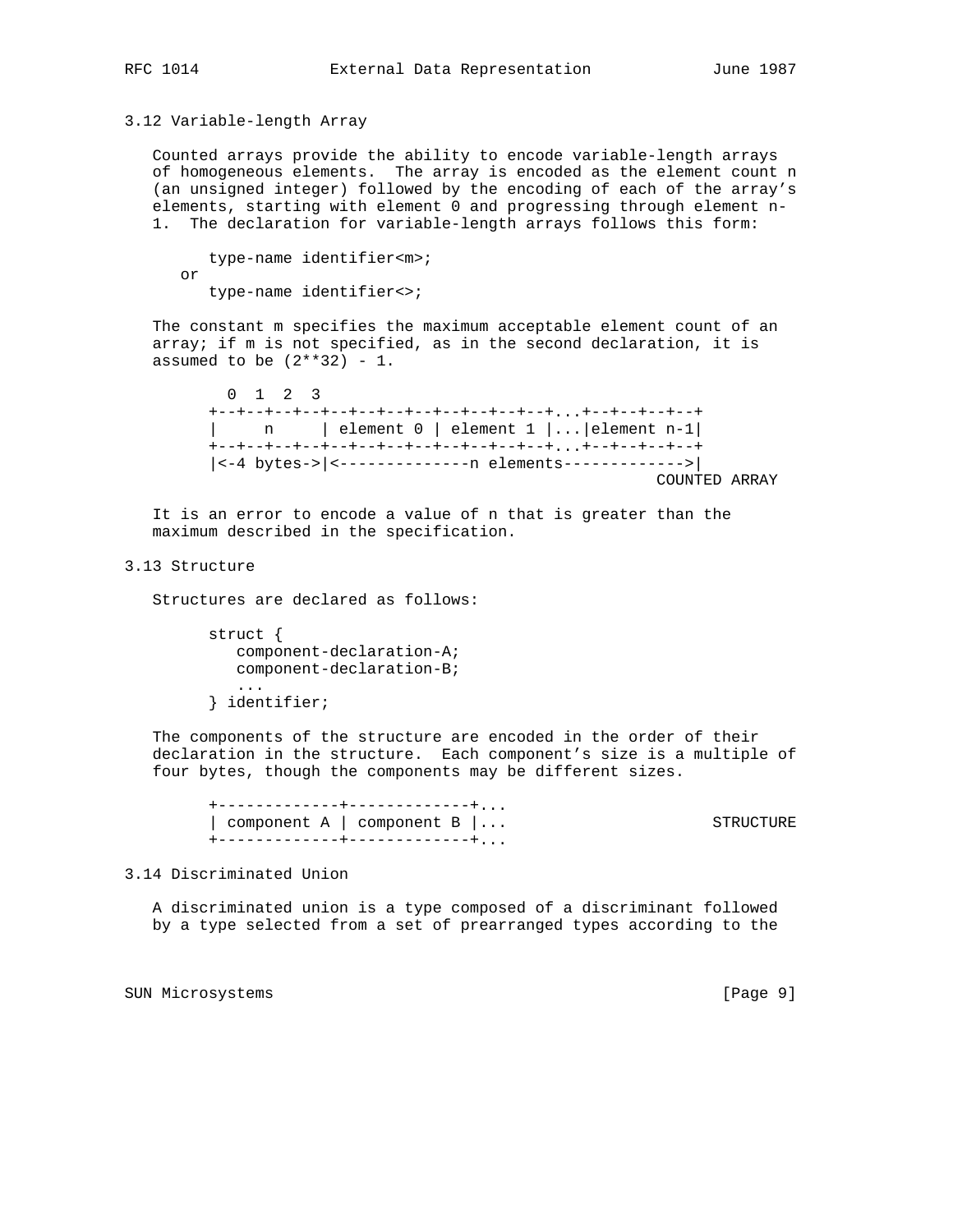3.12 Variable-length Array

 Counted arrays provide the ability to encode variable-length arrays of homogeneous elements. The array is encoded as the element count n (an unsigned integer) followed by the encoding of each of the array's elements, starting with element 0 and progressing through element n- 1. The declaration for variable-length arrays follows this form:

 type-name identifier<m>; or type-name identifier<>;

 The constant m specifies the maximum acceptable element count of an array; if m is not specified, as in the second declaration, it is assumed to be  $(2**32) - 1$ .

 0 1 2 3 +--+--+--+--+--+--+--+--+--+--+--+--+...+--+--+--+--+ | n | element 0 | element 1 |...|element n-1| +--+--+--+--+--+--+--+--+--+--+--+--+...+--+--+--+--+ |<-4 bytes->|<--------------n elements------------->| COUNTED ARRAY

 It is an error to encode a value of n that is greater than the maximum described in the specification.

#### 3.13 Structure

Structures are declared as follows:

 struct { component-declaration-A; component-declaration-B; ...

} identifier;

 The components of the structure are encoded in the order of their declaration in the structure. Each component's size is a multiple of four bytes, though the components may be different sizes.

 +-------------+-------------+... | component A | component B |... STRUCTURE .<br>+--------------+--------------+...

3.14 Discriminated Union

 A discriminated union is a type composed of a discriminant followed by a type selected from a set of prearranged types according to the

SUN Microsystems [Page 9]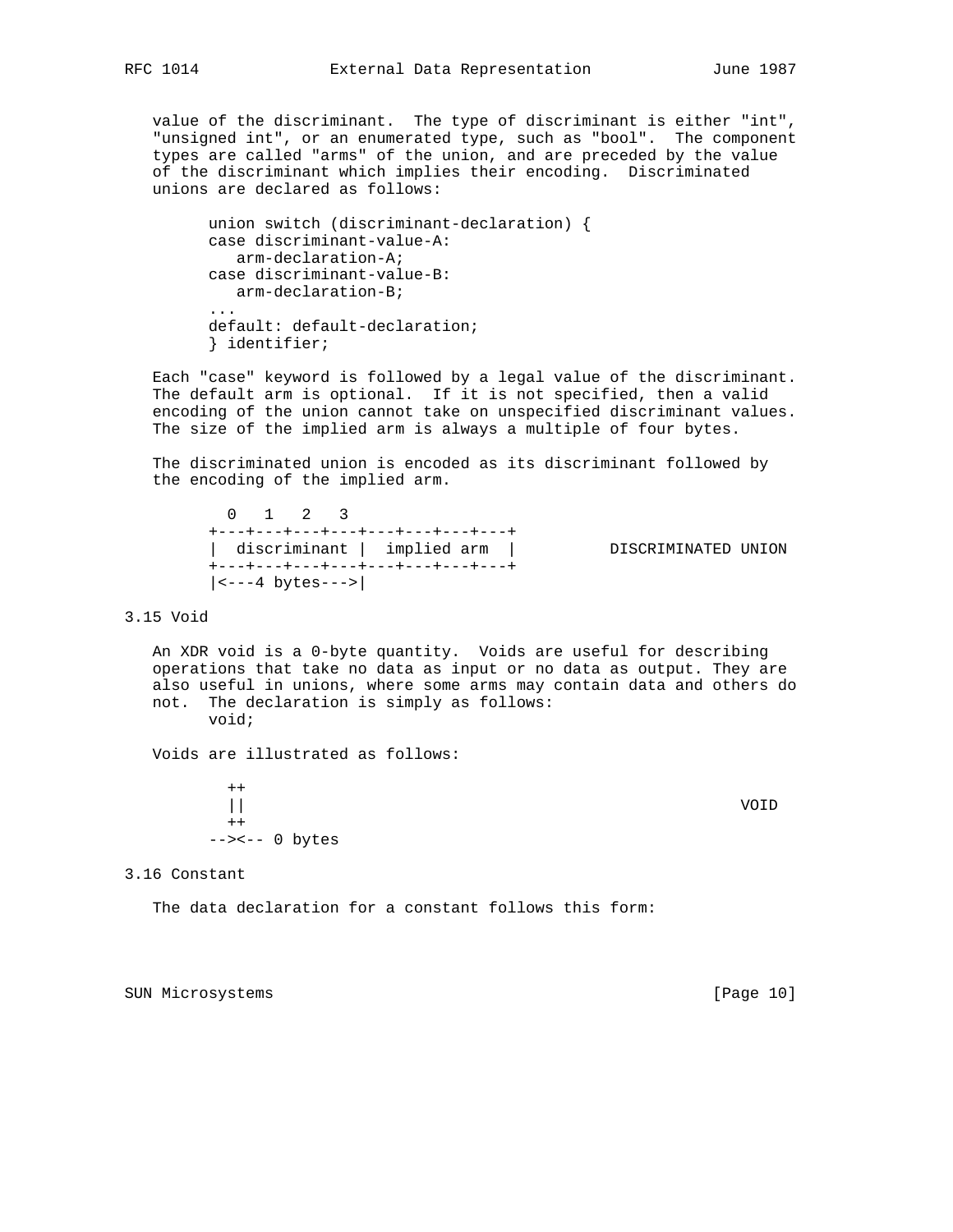value of the discriminant. The type of discriminant is either "int", "unsigned int", or an enumerated type, such as "bool". The component types are called "arms" of the union, and are preceded by the value of the discriminant which implies their encoding. Discriminated

 union switch (discriminant-declaration) { case discriminant-value-A: arm-declaration-A; case discriminant-value-B: arm-declaration-B; ... default: default-declaration; } identifier;

unions are declared as follows:

 Each "case" keyword is followed by a legal value of the discriminant. The default arm is optional. If it is not specified, then a valid encoding of the union cannot take on unspecified discriminant values. The size of the implied arm is always a multiple of four bytes.

 The discriminated union is encoded as its discriminant followed by the encoding of the implied arm.

 0 1 2 3 +---+---+---+---+---+---+---+---+ | discriminant | implied arm | DISCRIMINATED UNION +---+---+---+---+---+---+---+---+  $|\leftarrow --4$  bytes  $---\leftarrow$ 

3.15 Void

 An XDR void is a 0-byte quantity. Voids are useful for describing operations that take no data as input or no data as output. They are also useful in unions, where some arms may contain data and others do not. The declaration is simply as follows: void;

Voids are illustrated as follows:

 $++$  || VOID  $++$ --><-- 0 bytes

3.16 Constant

The data declaration for a constant follows this form:

SUN Microsystems [Page 10]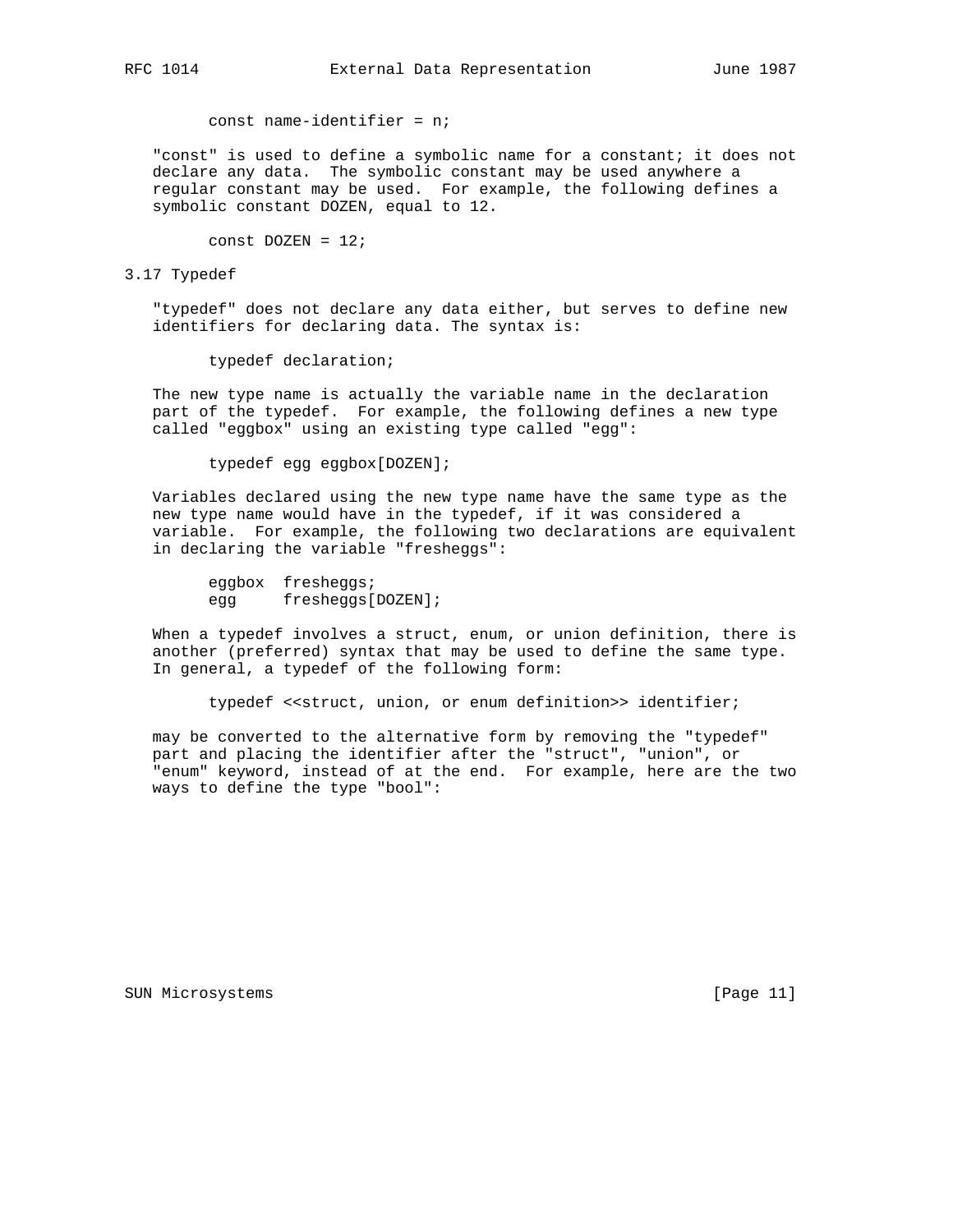const name-identifier = n;

 "const" is used to define a symbolic name for a constant; it does not declare any data. The symbolic constant may be used anywhere a regular constant may be used. For example, the following defines a symbolic constant DOZEN, equal to 12.

const  $DOZEN = 12$ ;

#### 3.17 Typedef

 "typedef" does not declare any data either, but serves to define new identifiers for declaring data. The syntax is:

typedef declaration;

 The new type name is actually the variable name in the declaration part of the typedef. For example, the following defines a new type called "eggbox" using an existing type called "egg":

typedef egg eggbox[DOZEN];

 Variables declared using the new type name have the same type as the new type name would have in the typedef, if it was considered a variable. For example, the following two declarations are equivalent in declaring the variable "fresheggs":

 eggbox fresheggs; egg fresheggs[DOZEN];

 When a typedef involves a struct, enum, or union definition, there is another (preferred) syntax that may be used to define the same type. In general, a typedef of the following form:

typedef << struct, union, or enum definition>> identifier;

 may be converted to the alternative form by removing the "typedef" part and placing the identifier after the "struct", "union", or "enum" keyword, instead of at the end. For example, here are the two ways to define the type "bool":

SUN Microsystems [Page 11]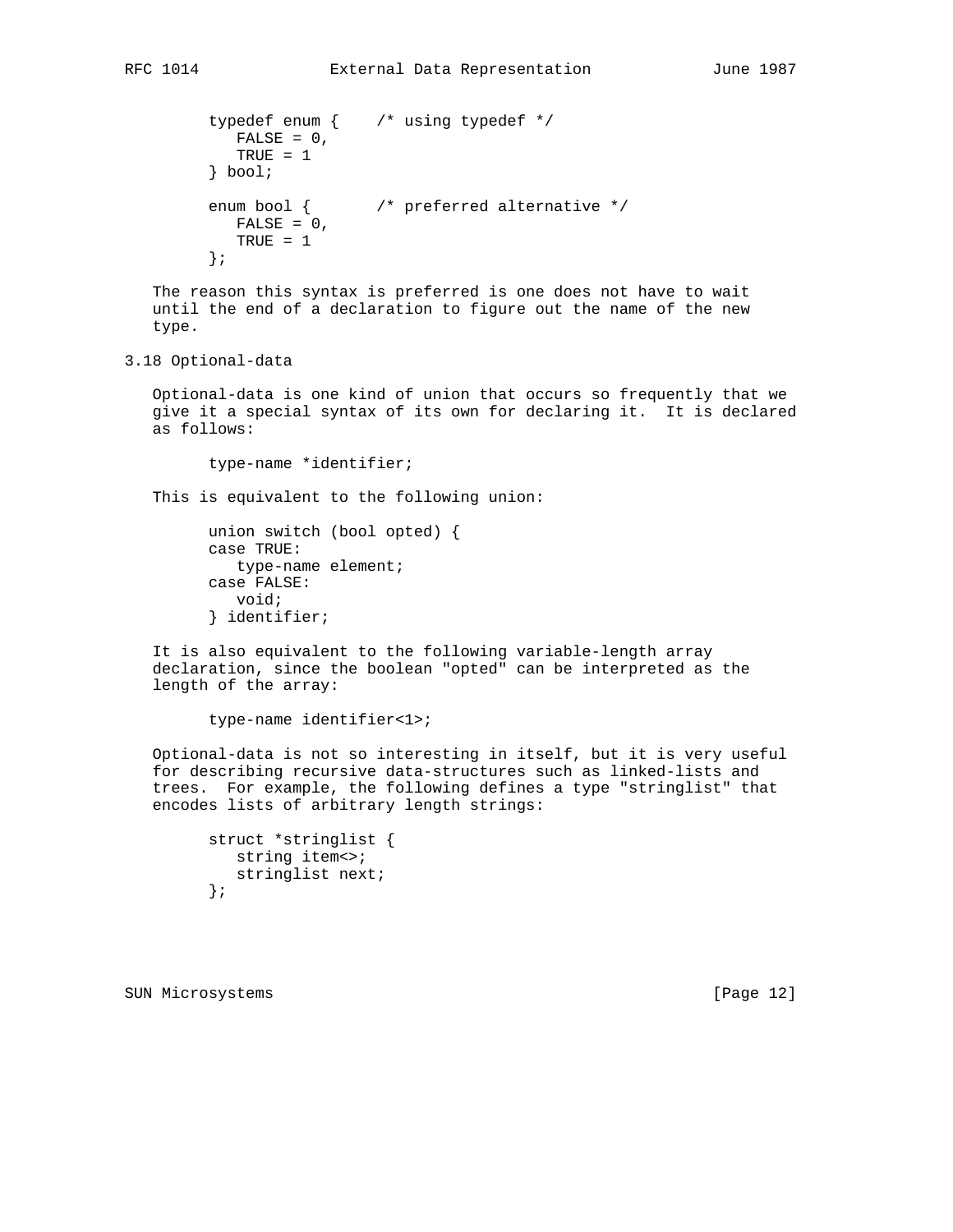```
 typedef enum { /* using typedef */
  FALSE = 0, TRUE = 1
 } bool;
 enum bool { /* preferred alternative */
  FALSE = 0, TRUE = 1
 };
```
 The reason this syntax is preferred is one does not have to wait until the end of a declaration to figure out the name of the new type.

3.18 Optional-data

 Optional-data is one kind of union that occurs so frequently that we give it a special syntax of its own for declaring it. It is declared as follows:

type-name \*identifier;

This is equivalent to the following union:

```
 union switch (bool opted) {
 case TRUE:
    type-name element;
 case FALSE:
   void;
 } identifier;
```
 It is also equivalent to the following variable-length array declaration, since the boolean "opted" can be interpreted as the length of the array:

type-name identifier<1>;

 Optional-data is not so interesting in itself, but it is very useful for describing recursive data-structures such as linked-lists and trees. For example, the following defines a type "stringlist" that encodes lists of arbitrary length strings:

```
 struct *stringlist {
   string item<>;
    stringlist next;
 };
```
SUN Microsystems [Page 12]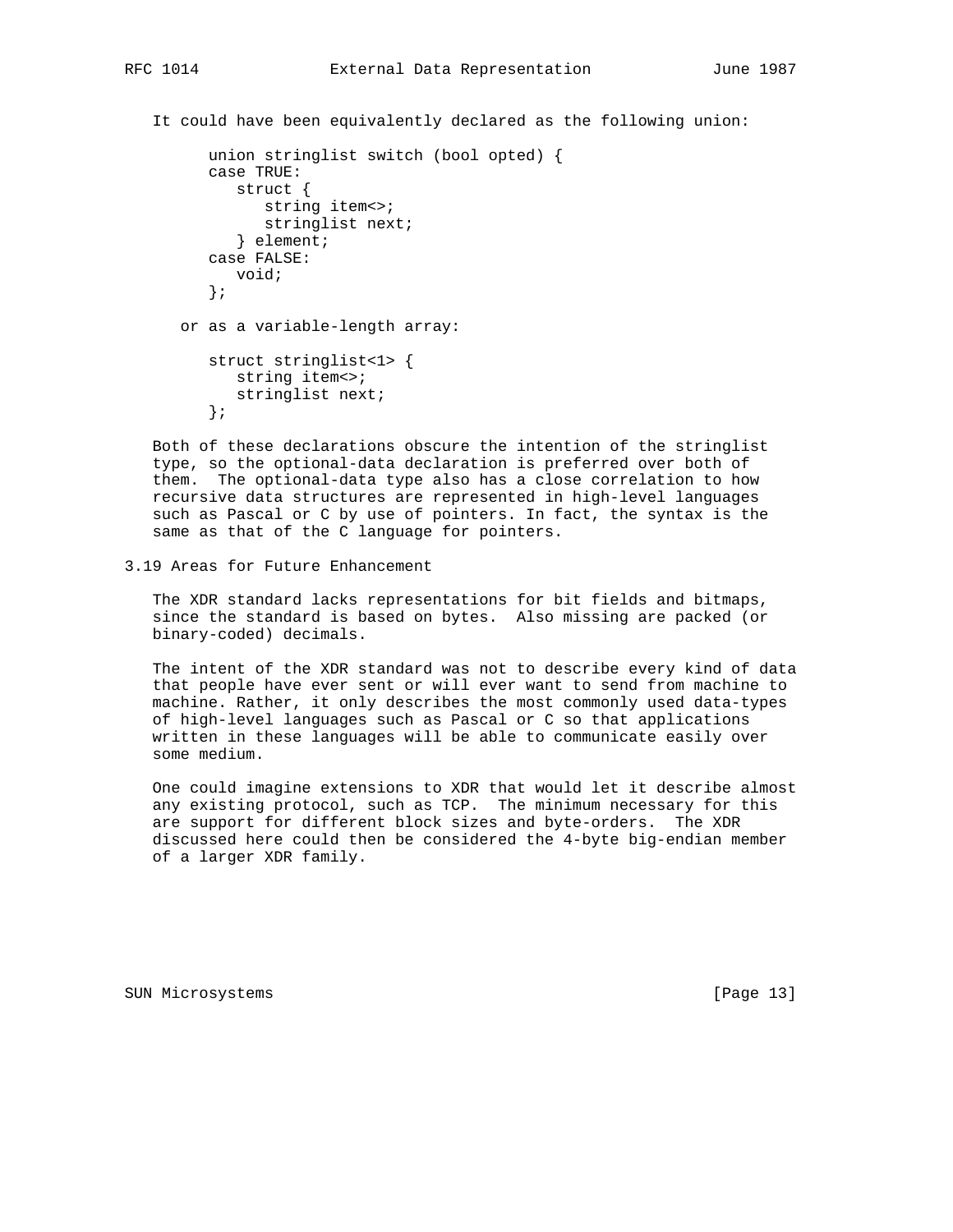It could have been equivalently declared as the following union:

```
 union stringlist switch (bool opted) {
    case TRUE:
       struct {
          string item<>;
          stringlist next;
       } element;
    case FALSE:
       void;
    };
 or as a variable-length array:
    struct stringlist<1> {
      string item<>;
       stringlist next;
    };
```
 Both of these declarations obscure the intention of the stringlist type, so the optional-data declaration is preferred over both of them. The optional-data type also has a close correlation to how recursive data structures are represented in high-level languages such as Pascal or C by use of pointers. In fact, the syntax is the same as that of the C language for pointers.

3.19 Areas for Future Enhancement

 The XDR standard lacks representations for bit fields and bitmaps, since the standard is based on bytes. Also missing are packed (or binary-coded) decimals.

 The intent of the XDR standard was not to describe every kind of data that people have ever sent or will ever want to send from machine to machine. Rather, it only describes the most commonly used data-types of high-level languages such as Pascal or C so that applications written in these languages will be able to communicate easily over some medium.

 One could imagine extensions to XDR that would let it describe almost any existing protocol, such as TCP. The minimum necessary for this are support for different block sizes and byte-orders. The XDR discussed here could then be considered the 4-byte big-endian member of a larger XDR family.

SUN Microsystems [Page 13]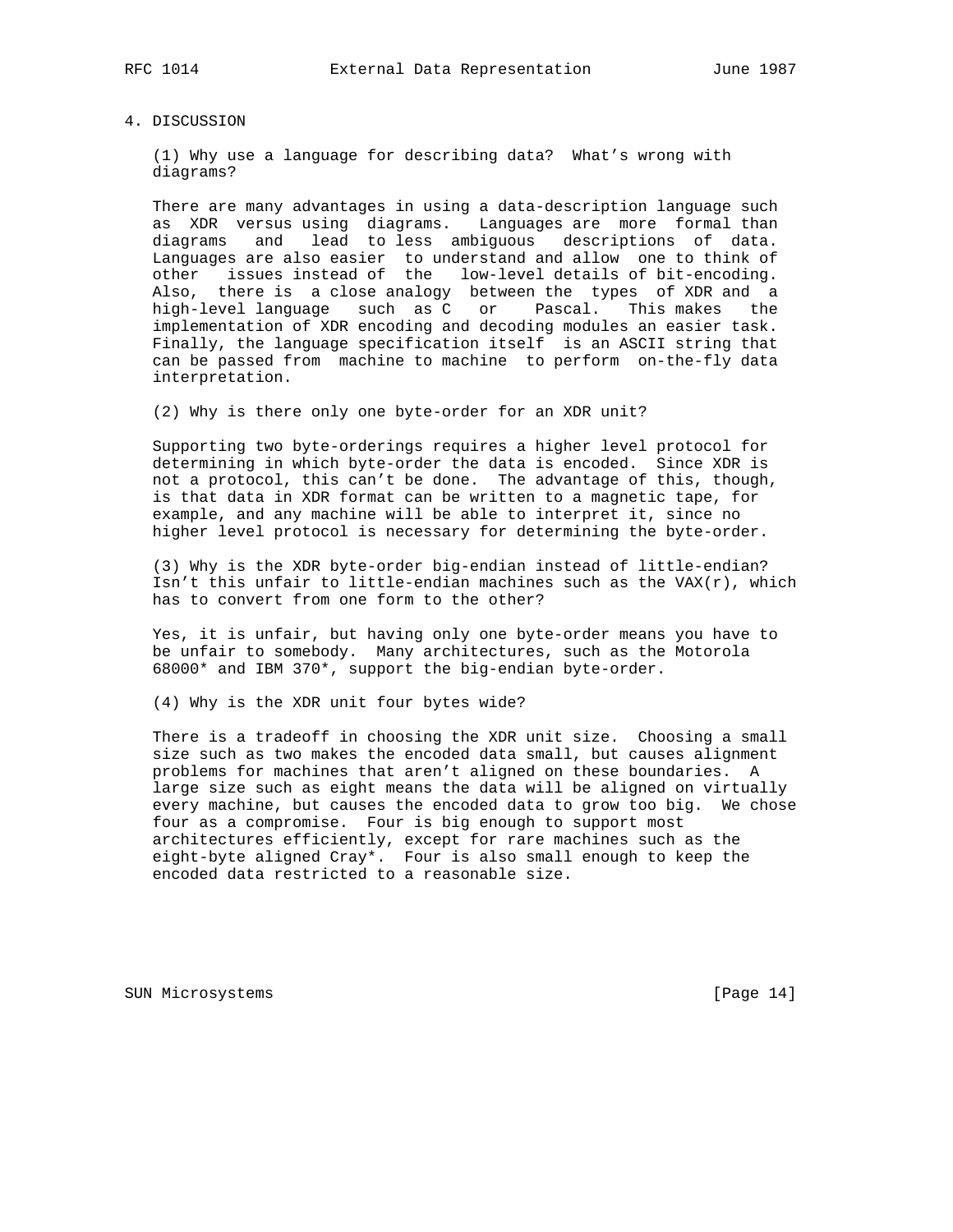### 4. DISCUSSION

 (1) Why use a language for describing data? What's wrong with diagrams?

 There are many advantages in using a data-description language such as XDR versus using diagrams. Languages are more formal than diagrams and lead to less ambiguous descriptions of data. Languages are also easier to understand and allow one to think of other issues instead of the low-level details of bit-encoding. Also, there is a close analogy between the types of XDR and a high-level language such as C or Pascal. This makes the implementation of XDR encoding and decoding modules an easier task. Finally, the language specification itself is an ASCII string that can be passed from machine to machine to perform on-the-fly data interpretation.

(2) Why is there only one byte-order for an XDR unit?

 Supporting two byte-orderings requires a higher level protocol for determining in which byte-order the data is encoded. Since XDR is not a protocol, this can't be done. The advantage of this, though, is that data in XDR format can be written to a magnetic tape, for example, and any machine will be able to interpret it, since no higher level protocol is necessary for determining the byte-order.

 (3) Why is the XDR byte-order big-endian instead of little-endian? Isn't this unfair to little-endian machines such as the VAX( $r$ ), which has to convert from one form to the other?

 Yes, it is unfair, but having only one byte-order means you have to be unfair to somebody. Many architectures, such as the Motorola 68000\* and IBM 370\*, support the big-endian byte-order.

(4) Why is the XDR unit four bytes wide?

 There is a tradeoff in choosing the XDR unit size. Choosing a small size such as two makes the encoded data small, but causes alignment problems for machines that aren't aligned on these boundaries. A large size such as eight means the data will be aligned on virtually every machine, but causes the encoded data to grow too big. We chose four as a compromise. Four is big enough to support most architectures efficiently, except for rare machines such as the eight-byte aligned Cray\*. Four is also small enough to keep the encoded data restricted to a reasonable size.

SUN Microsystems [Page 14]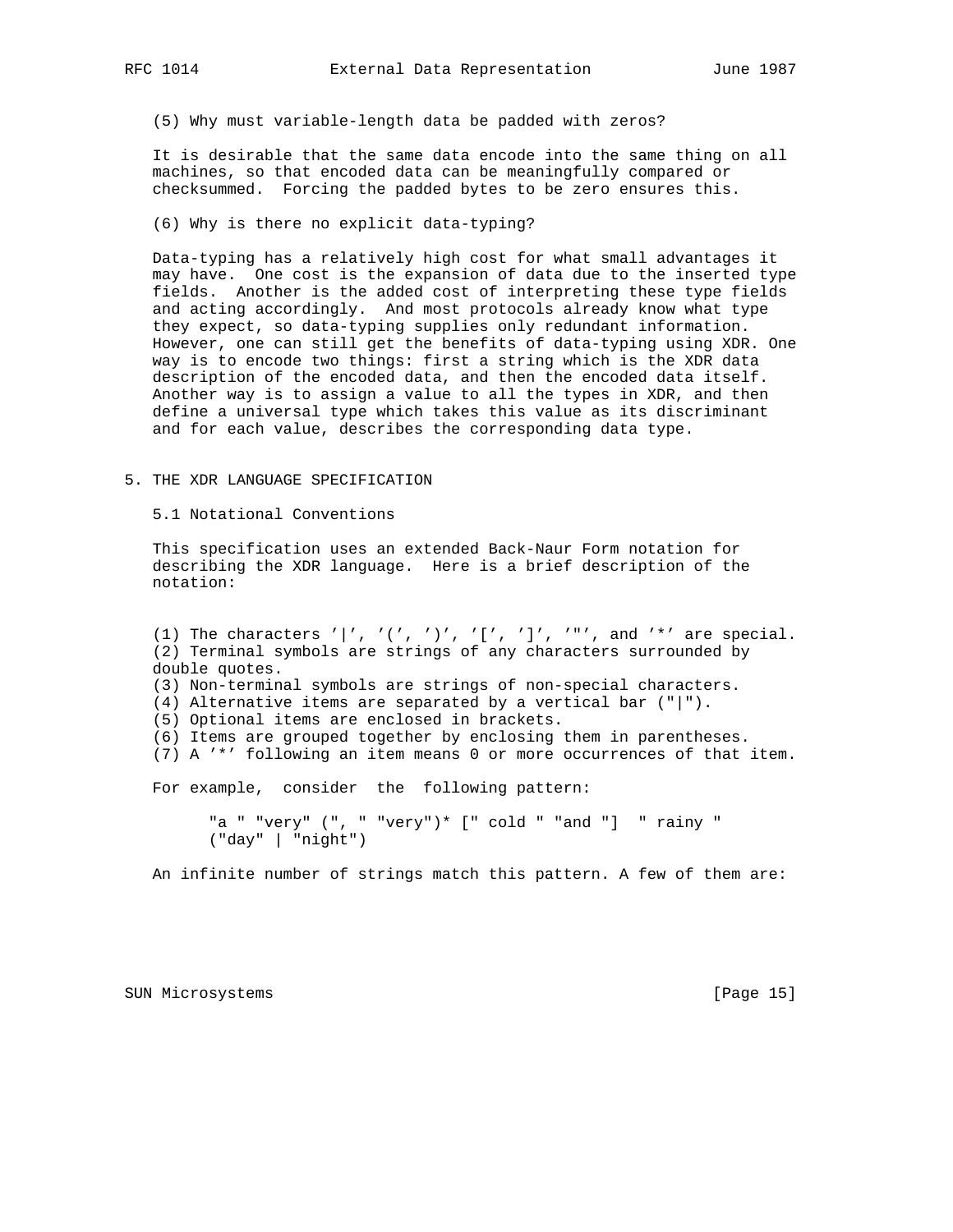(5) Why must variable-length data be padded with zeros?

 It is desirable that the same data encode into the same thing on all machines, so that encoded data can be meaningfully compared or checksummed. Forcing the padded bytes to be zero ensures this.

(6) Why is there no explicit data-typing?

 Data-typing has a relatively high cost for what small advantages it may have. One cost is the expansion of data due to the inserted type fields. Another is the added cost of interpreting these type fields and acting accordingly. And most protocols already know what type they expect, so data-typing supplies only redundant information. However, one can still get the benefits of data-typing using XDR. One way is to encode two things: first a string which is the XDR data description of the encoded data, and then the encoded data itself. Another way is to assign a value to all the types in XDR, and then define a universal type which takes this value as its discriminant and for each value, describes the corresponding data type.

5. THE XDR LANGUAGE SPECIFICATION

5.1 Notational Conventions

 This specification uses an extended Back-Naur Form notation for describing the XDR language. Here is a brief description of the notation:

(1) The characters '|', '(', ')', '[', ']', '"', and '\*' are special. (2) Terminal symbols are strings of any characters surrounded by double quotes. (3) Non-terminal symbols are strings of non-special characters. (4) Alternative items are separated by a vertical bar ("|"). (5) Optional items are enclosed in brackets. (6) Items are grouped together by enclosing them in parentheses. (7) A '\*' following an item means 0 or more occurrences of that item. For example, consider the following pattern: "a " "very" (", " "very")\* [" cold " "and "] " rainy "

("day" | "night")

An infinite number of strings match this pattern. A few of them are:

SUN Microsystems [Page 15]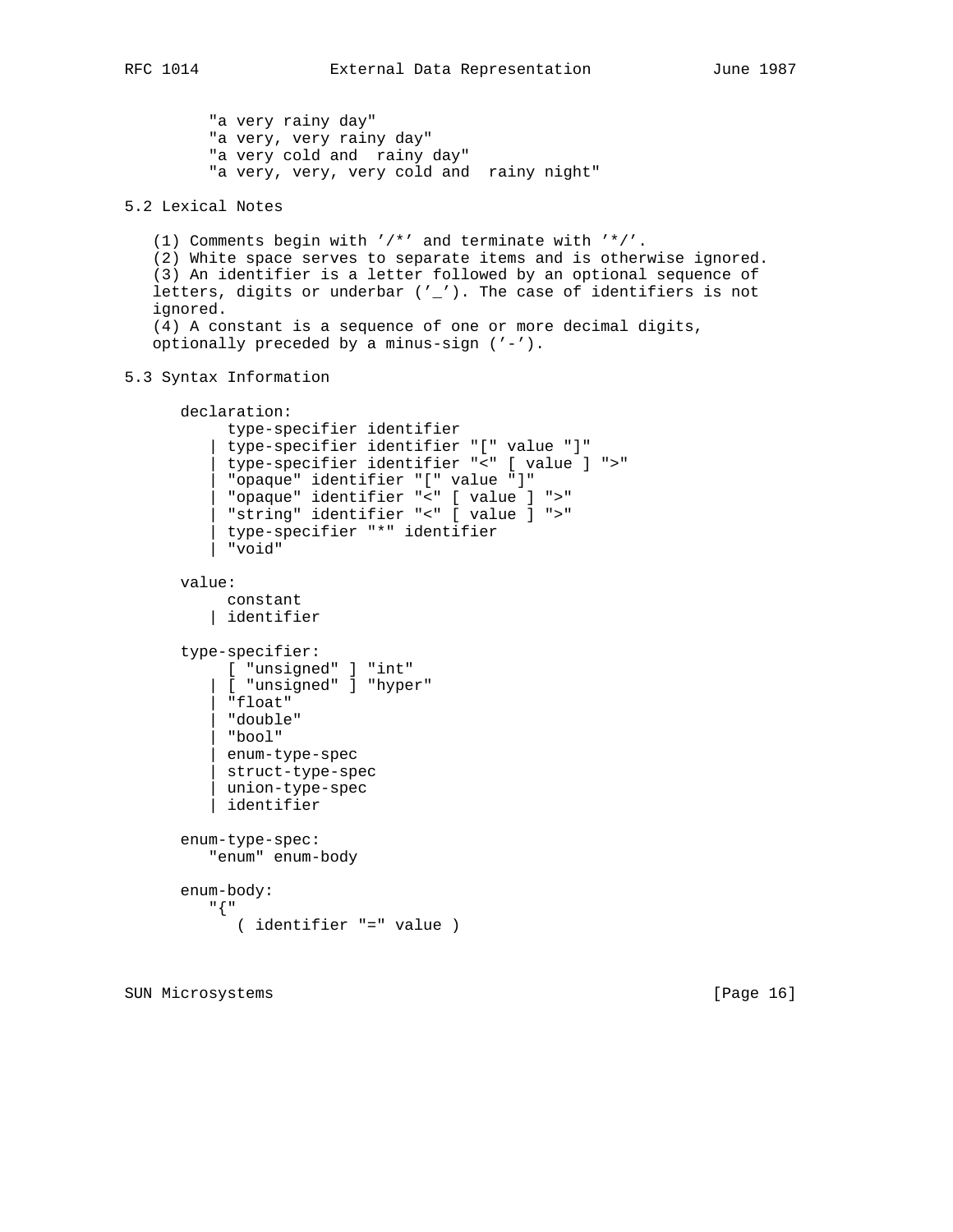"a very rainy day" "a very, very rainy day" "a very cold and rainy day" "a very, very, very cold and rainy night" 5.2 Lexical Notes (1) Comments begin with '/\*' and terminate with '\*/'. (2) White space serves to separate items and is otherwise ignored. (3) An identifier is a letter followed by an optional sequence of letters, digits or underbar ('\_'). The case of identifiers is not ignored. (4) A constant is a sequence of one or more decimal digits, optionally preceded by a minus-sign ('-'). 5.3 Syntax Information declaration: type-specifier identifier | type-specifier identifier "[" value "]" | type-specifier identifier "<" [ value ] ">" | "opaque" identifier "[" value "]" | "opaque" identifier "<" [ value ] ">" | "string" identifier "<" [ value ] ">" | type-specifier "\*" identifier | "void" value: constant | identifier type-specifier: [ "unsigned" ] "int" | [ "unsigned" ] "hyper" | "float" | "double" | "bool" | enum-type-spec | struct-type-spec | union-type-spec | identifier enum-type-spec: "enum" enum-body enum-body: "{" ( identifier "=" value )

SUN Microsystems [Page 16]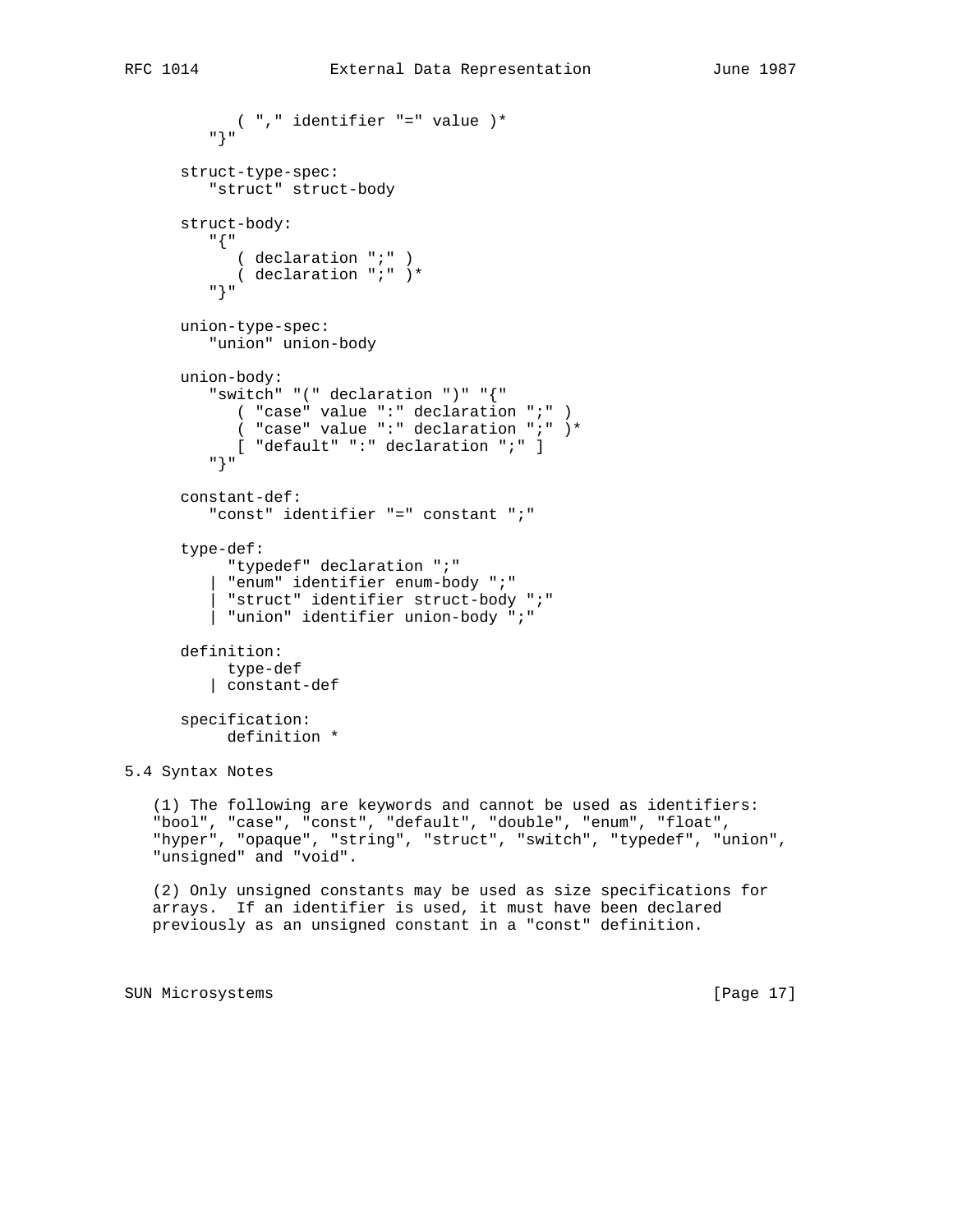```
 ( "," identifier "=" value )*
 "}"
       struct-type-spec:
          "struct" struct-body
       struct-body:
         "{"
           ( declaration ";" )
            ( declaration ";" )*
          "}"
       union-type-spec:
         "union" union-body
       union-body:
          "switch" "(" declaration ")" "{"
           ( "case" value ":" declaration ";" )
            ( "case" value ":" declaration ";" )*
            [ "default" ":" declaration ";" ]
          "}"
       constant-def:
          "const" identifier "=" constant ";"
       type-def:
            "typedef" declaration ";"
           | "enum" identifier enum-body ";"
            | "struct" identifier struct-body ";"
           | "union" identifier union-body ";"
       definition:
           type-def
          | constant-def
       specification:
           definition *
5.4 Syntax Notes
    (1) The following are keywords and cannot be used as identifiers:
    "bool", "case", "const", "default", "double", "enum", "float",
    "hyper", "opaque", "string", "struct", "switch", "typedef", "union",
    "unsigned" and "void".
   (2) Only unsigned constants may be used as size specifications for
```
 arrays. If an identifier is used, it must have been declared previously as an unsigned constant in a "const" definition.

SUN Microsystems [Page 17]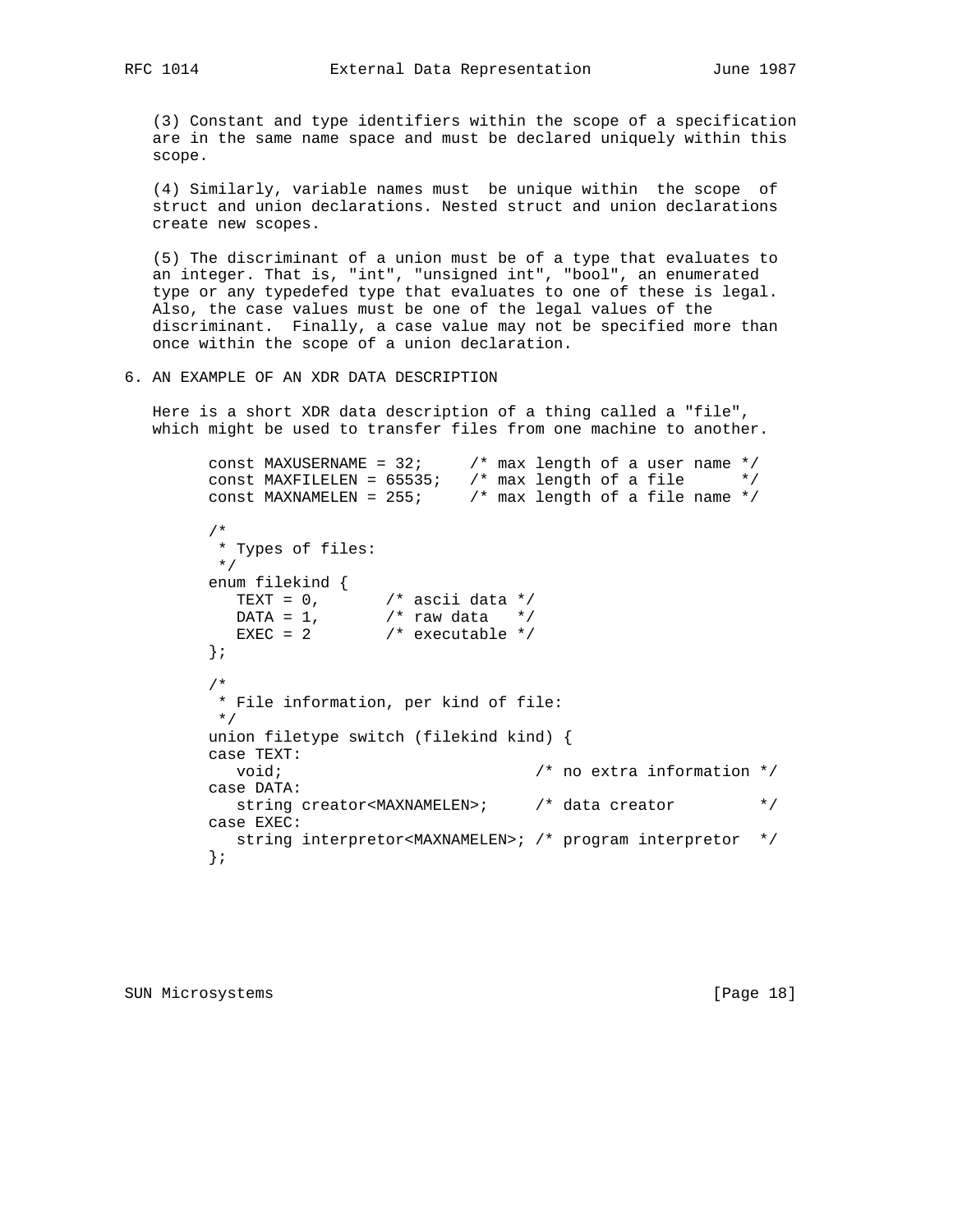(3) Constant and type identifiers within the scope of a specification are in the same name space and must be declared uniquely within this scope.

 (4) Similarly, variable names must be unique within the scope of struct and union declarations. Nested struct and union declarations create new scopes.

 (5) The discriminant of a union must be of a type that evaluates to an integer. That is, "int", "unsigned int", "bool", an enumerated type or any typedefed type that evaluates to one of these is legal. Also, the case values must be one of the legal values of the discriminant. Finally, a case value may not be specified more than once within the scope of a union declaration.

6. AN EXAMPLE OF AN XDR DATA DESCRIPTION

 Here is a short XDR data description of a thing called a "file", which might be used to transfer files from one machine to another.

```
const MAXUSERNAME = 32; \frac{1}{2} max length of a user name \frac{*}{2}const MAXFILELEN = 65535; /* max length of a file */
       const MAXNAMELEN = 255; /* max length of a file name */
         /*
         * Types of files:
         */
        enum filekind {
TEXT = 0, \frac{1}{2} ascii data */
DATA = 1, /* raw data */EXEC = 2 /* executable */
         };
         /*
         * File information, per kind of file:
         */
        union filetype switch (filekind kind) {
        case TEXT:
          void; \overline{y} /* no extra information */
        case DATA:
           string creator<MAXNAMELEN>; /* data creator */
        case EXEC:
          string interpretor<MAXNAMELEN>; /* program interpretor */
         };
```
SUN Microsystems [Page 18]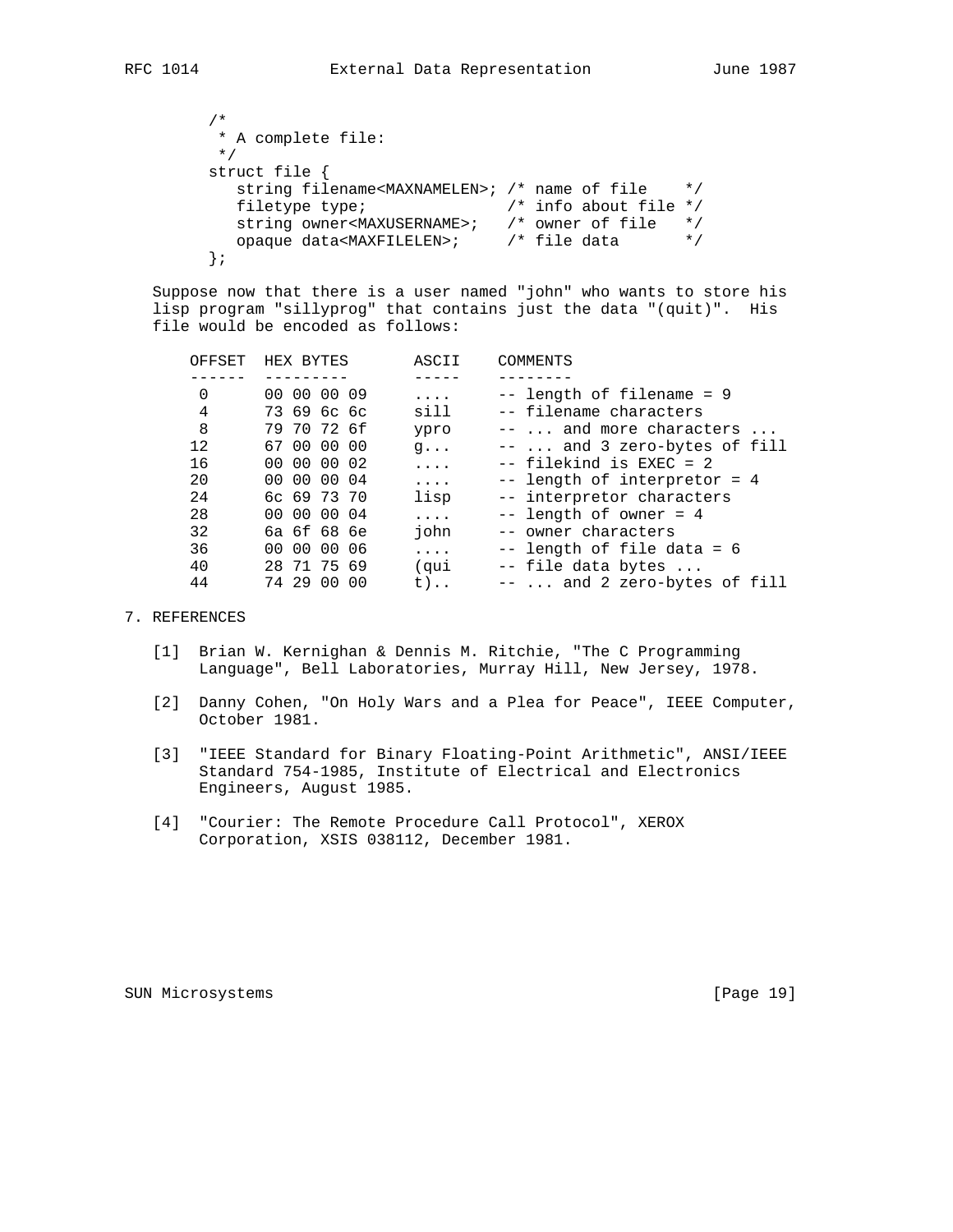```
 /*
        * A complete file:
        */
        struct file {
          string filename<MAXNAMELEN>; /* name of file */
 filetype type; /* info about file */
 string owner<MAXUSERNAME>; /* owner of file */
          opaque data<MAXFILELEN>; /* file data */
        };
```
 Suppose now that there is a user named "john" who wants to store his lisp program "sillyprog" that contains just the data "(quit)". His file would be encoded as follows:

| HEX BYTES                   | ASCII      | COMMENTS                                |
|-----------------------------|------------|-----------------------------------------|
|                             |            |                                         |
| 00 00 09<br>00 <sup>o</sup> | .          | -- length of filename = 9               |
| 73696c6c                    | sill       | -- filename characters                  |
| 79 70 72 6f                 | ypro       | $--\ldots$ and more characters $\ldots$ |
| 67 00 00 00                 | $q \ldots$ | $-- \ldots$ and 3 zero-bytes of fill    |
| 00 00 00 02                 | .          | -- filekind is EXEC = 2                 |
| 00 00 00 04                 | .          | -- length of interpretor = 4            |
| 6c 69 73 70                 | lisp       | -- interpretor characters               |
| 00 00 00 04                 | .          | $--$ length of owner = 4                |
| 6a 6f 68 6e                 | john       | -- owner characters                     |
| 00 00<br>00 06              | .          | -- length of file data = 6              |
| 28 71 75 69                 | (qui       | -- file data bytes                      |
| 74 29<br>. N.O<br>00        | t)         | --  and 2 zero-bytes of fill            |
|                             |            |                                         |

## 7. REFERENCES

- [1] Brian W. Kernighan & Dennis M. Ritchie, "The C Programming Language", Bell Laboratories, Murray Hill, New Jersey, 1978.
- [2] Danny Cohen, "On Holy Wars and a Plea for Peace", IEEE Computer, October 1981.
- [3] "IEEE Standard for Binary Floating-Point Arithmetic", ANSI/IEEE Standard 754-1985, Institute of Electrical and Electronics Engineers, August 1985.
- [4] "Courier: The Remote Procedure Call Protocol", XEROX Corporation, XSIS 038112, December 1981.

SUN Microsystems [Page 19]